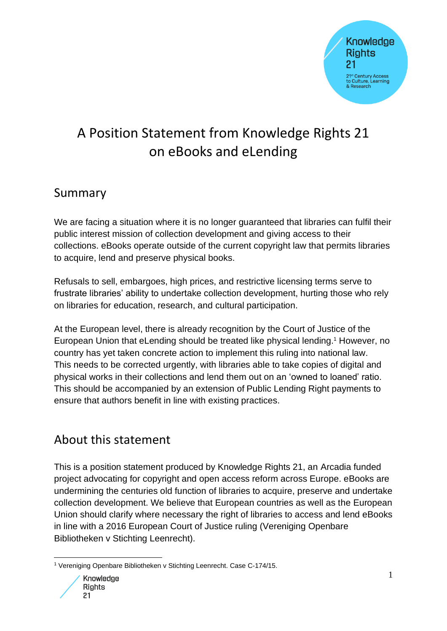

# A Position Statement from Knowledge Rights 21 on eBooks and eLending

### Summary

We are facing a situation where it is no longer guaranteed that libraries can fulfil their public interest mission of collection development and giving access to their collections. eBooks operate outside of the current copyright law that permits libraries to acquire, lend and preserve physical books.

Refusals to sell, embargoes, high prices, and restrictive licensing terms serve to frustrate libraries' ability to undertake collection development, hurting those who rely on libraries for education, research, and cultural participation.

At the European level, there is already recognition by the Court of Justice of the European Union that eLending should be treated like physical lending.<sup>1</sup> However, no country has yet taken concrete action to implement this ruling into national law. This needs to be corrected urgently, with libraries able to take copies of digital and physical works in their collections and lend them out on an 'owned to loaned' ratio. This should be accompanied by an extension of Public Lending Right payments to ensure that authors benefit in line with existing practices.

### About this statement

This is a position statement produced by Knowledge Rights 21, an Arcadia funded project advocating for copyright and open access reform across Europe. eBooks are undermining the centuries old function of libraries to acquire, preserve and undertake collection development. We believe that European countries as well as the European Union should clarify where necessary the right of libraries to access and lend eBooks in line with a 2016 European Court of Justice ruling (Vereniging Openbare Bibliotheken v Stichting Leenrecht).

<sup>1</sup> Vereniging Openbare Bibliotheken v Stichting Leenrecht. Case C-174/15.

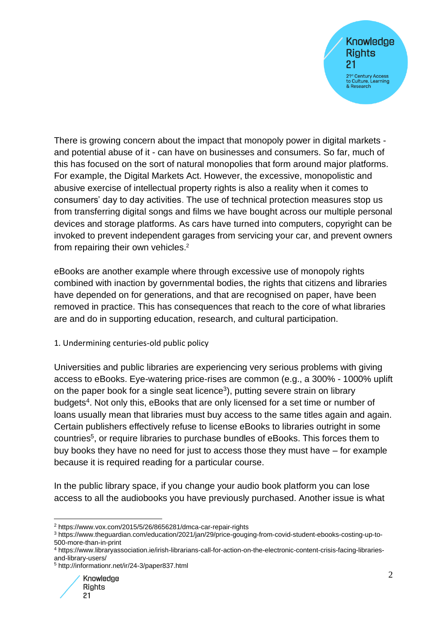**Knowledge Rights** 21 21<sup>st</sup> Century Access to Culture, Learning<br>& Research

There is growing concern about the impact that monopoly power in digital markets and potential abuse of it - can have on businesses and consumers. So far, much of this has focused on the sort of natural monopolies that form around major platforms. For example, the Digital Markets Act. However, the excessive, monopolistic and abusive exercise of intellectual property rights is also a reality when it comes to consumers' day to day activities. The use of technical protection measures stop us from transferring digital songs and films we have bought across our multiple personal devices and storage platforms. As cars have turned into computers, copyright can be invoked to prevent independent garages from servicing your car, and prevent owners from repairing their own vehicles.<sup>2</sup>

eBooks are another example where through excessive use of monopoly rights combined with inaction by governmental bodies, the rights that citizens and libraries have depended on for generations, and that are recognised on paper, have been removed in practice. This has consequences that reach to the core of what libraries are and do in supporting education, research, and cultural participation.

#### 1. Undermining centuries-old public policy

Universities and public libraries are experiencing very serious problems with giving access to eBooks. Eye-watering price-rises are common (e.g., a 300% - 1000% uplift on the paper book for a single seat licence<sup>3</sup>), putting severe strain on library budgets<sup>4</sup>. Not only this, eBooks that are only licensed for a set time or number of loans usually mean that libraries must buy access to the same titles again and again. Certain publishers effectively refuse to license eBooks to libraries outright in some countries<sup>5</sup>, or require libraries to purchase bundles of eBooks. This forces them to buy books they have no need for just to access those they must have – for example because it is required reading for a particular course.

In the public library space, if you change your audio book platform you can lose access to all the audiobooks you have previously purchased. Another issue is what

<sup>5</sup> http://informationr.net/ir/24-3/paper837.html



<sup>2</sup> https://www.vox.com/2015/5/26/8656281/dmca-car-repair-rights

<sup>3</sup> https://www.theguardian.com/education/2021/jan/29/price-gouging-from-covid-student-ebooks-costing-up-to-500-more-than-in-print

<sup>4</sup> https://www.libraryassociation.ie/irish-librarians-call-for-action-on-the-electronic-content-crisis-facing-librariesand-library-users/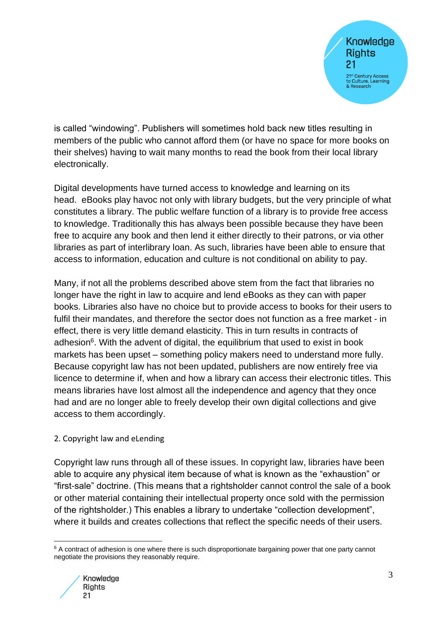

is called "windowing". Publishers will sometimes hold back new titles resulting in members of the public who cannot afford them (or have no space for more books on their shelves) having to wait many months to read the book from their local library electronically.

Digital developments have turned access to knowledge and learning on its head. eBooks play havoc not only with library budgets, but the very principle of what constitutes a library. The public welfare function of a library is to provide free access to knowledge. Traditionally this has always been possible because they have been free to acquire any book and then lend it either directly to their patrons, or via other libraries as part of interlibrary loan. As such, libraries have been able to ensure that access to information, education and culture is not conditional on ability to pay.

Many, if not all the problems described above stem from the fact that libraries no longer have the right in law to acquire and lend eBooks as they can with paper books. Libraries also have no choice but to provide access to books for their users to fulfil their mandates, and therefore the sector does not function as a free market - in effect, there is very little demand elasticity. This in turn results in contracts of adhesion<sup>6</sup>. With the advent of digital, the equilibrium that used to exist in book markets has been upset – something policy makers need to understand more fully. Because copyright law has not been updated, publishers are now entirely free via licence to determine if, when and how a library can access their electronic titles. This means libraries have lost almost all the independence and agency that they once had and are no longer able to freely develop their own digital collections and give access to them accordingly.

#### 2. Copyright law and eLending

Copyright law runs through all of these issues. In copyright law, libraries have been able to acquire any physical item because of what is known as the "exhaustion" or "first-sale" doctrine. (This means that a rightsholder cannot control the sale of a book or other material containing their intellectual property once sold with the permission of the rightsholder.) This enables a library to undertake "collection development", where it builds and creates collections that reflect the specific needs of their users.

<sup>&</sup>lt;sup>6</sup> A contract of adhesion is one where there is such disproportionate bargaining power that one party cannot negotiate the provisions they reasonably require.

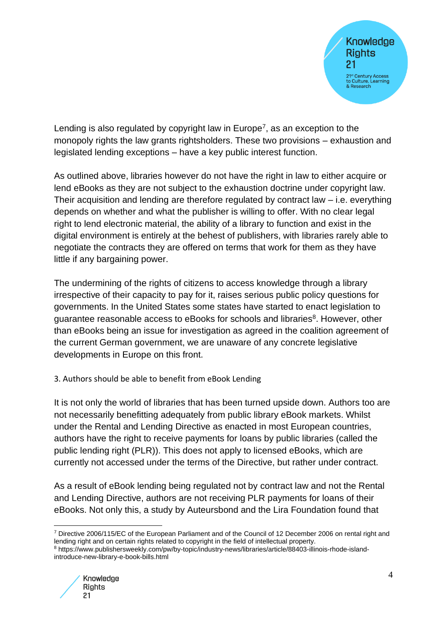

Lending is also regulated by copyright law in Europe<sup>7</sup>, as an exception to the monopoly rights the law grants rightsholders. These two provisions – exhaustion and legislated lending exceptions – have a key public interest function.

As outlined above, libraries however do not have the right in law to either acquire or lend eBooks as they are not subject to the exhaustion doctrine under copyright law. Their acquisition and lending are therefore regulated by contract law – i.e. everything depends on whether and what the publisher is willing to offer. With no clear legal right to lend electronic material, the ability of a library to function and exist in the digital environment is entirely at the behest of publishers, with libraries rarely able to negotiate the contracts they are offered on terms that work for them as they have little if any bargaining power.

The undermining of the rights of citizens to access knowledge through a library irrespective of their capacity to pay for it, raises serious public policy questions for governments. In the United States some states have started to enact legislation to guarantee reasonable access to eBooks for schools and libraries<sup>8</sup>. However, other than eBooks being an issue for investigation as agreed in the coalition agreement of the current German government, we are unaware of any concrete legislative developments in Europe on this front.

3. Authors should be able to benefit from eBook Lending

It is not only the world of libraries that has been turned upside down. Authors too are not necessarily benefitting adequately from public library eBook markets. Whilst under the Rental and Lending Directive as enacted in most European countries, authors have the right to receive payments for loans by public libraries (called the public lending right (PLR)). This does not apply to licensed eBooks, which are currently not accessed under the terms of the Directive, but rather under contract.

As a result of eBook lending being regulated not by contract law and not the Rental and Lending Directive, authors are not receiving PLR payments for loans of their eBooks. Not only this, a study by Auteursbond and the Lira Foundation found that

<sup>8</sup> https://www.publishersweekly.com/pw/by-topic/industry-news/libraries/article/88403-illinois-rhode-islandintroduce-new-library-e-book-bills.html



<sup>7</sup> Directive 2006/115/EC of the European Parliament and of the Council of 12 December 2006 on rental right and lending right and on certain rights related to copyright in the field of intellectual property.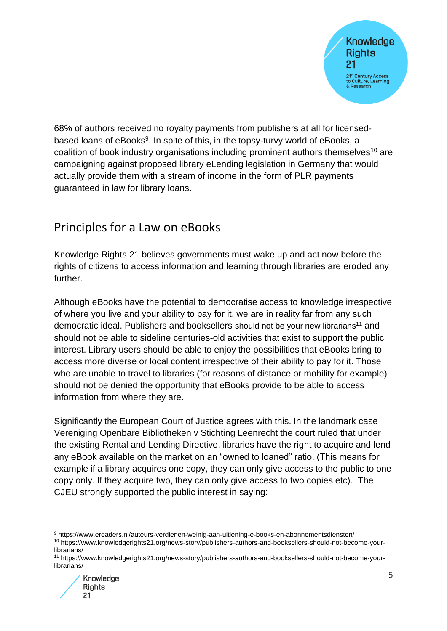

68% of authors received no royalty payments from publishers at all for licensedbased loans of eBooks<sup>9</sup>. In spite of this, in the topsy-turvy world of eBooks, a coalition of book industry organisations including prominent authors themselves<sup>10</sup> are campaigning against proposed library eLending legislation in Germany that would actually provide them with a stream of income in the form of PLR payments guaranteed in law for library loans.

### Principles for a Law on eBooks

Knowledge Rights 21 believes governments must wake up and act now before the rights of citizens to access information and learning through libraries are eroded any further.

Although eBooks have the potential to democratise access to knowledge irrespective of where you live and your ability to pay for it, we are in reality far from any such democratic ideal. Publishers and booksellers [should not be your new librarians](https://www.knowledgerights21.org/news-story/publishers-authors-and-booksellers-should-not-become-your-librarians/)<sup>11</sup> and should not be able to sideline centuries-old activities that exist to support the public interest. Library users should be able to enjoy the possibilities that eBooks bring to access more diverse or local content irrespective of their ability to pay for it. Those who are unable to travel to libraries (for reasons of distance or mobility for example) should not be denied the opportunity that eBooks provide to be able to access information from where they are.

Significantly the European Court of Justice agrees with this. In the landmark case Vereniging Openbare Bibliotheken v Stichting Leenrecht the court ruled that under the existing Rental and Lending Directive, libraries have the right to acquire and lend any eBook available on the market on an "owned to loaned" ratio. (This means for example if a library acquires one copy, they can only give access to the public to one copy only. If they acquire two, they can only give access to two copies etc). The CJEU strongly supported the public interest in saying:

<sup>10</sup> https://www.knowledgerights21.org/news-story/publishers-authors-and-booksellers-should-not-become-yourlibrarians/

<sup>11</sup> https://www.knowledgerights21.org/news-story/publishers-authors-and-booksellers-should-not-become-yourlibrarians/



<sup>9</sup> https://www.ereaders.nl/auteurs-verdienen-weinig-aan-uitlening-e-books-en-abonnementsdiensten/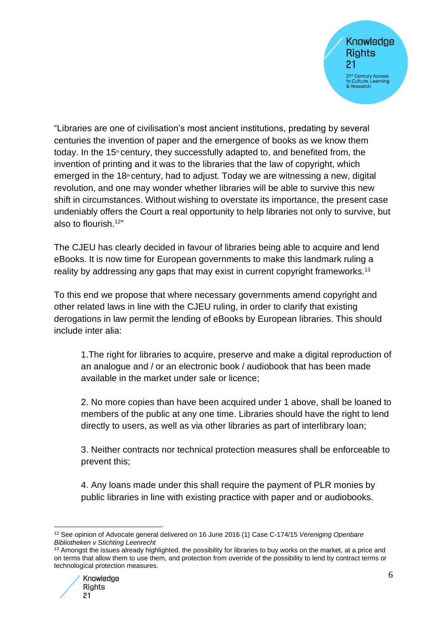**Knowledge Rights** 21 21<sup>st</sup> Century Access to Culture, Learning<br>& Research

"Libraries are one of civilisation's most ancient institutions, predating by several centuries the invention of paper and the emergence of books as we know them today. In the 15<sup>th</sup> century, they successfully adapted to, and benefited from, the invention of printing and it was to the libraries that the law of copyright, which emerged in the 18<sup>th</sup> century, had to adjust. Today we are witnessing a new, digital revolution, and one may wonder whether libraries will be able to survive this new shift in circumstances. Without wishing to overstate its importance, the present case undeniably offers the Court a real opportunity to help libraries not only to survive, but also to flourish.<sup>12"</sup>

The CJEU has clearly decided in favour of libraries being able to acquire and lend eBooks. It is now time for European governments to make this landmark ruling a reality by addressing any gaps that may exist in current copyright frameworks.<sup>13</sup>

To this end we propose that where necessary governments amend copyright and other related laws in line with the CJEU ruling, in order to clarify that existing derogations in law permit the lending of eBooks by European libraries. This should include inter alia:

1.The right for libraries to acquire, preserve and make a digital reproduction of an analogue and / or an electronic book / audiobook that has been made available in the market under sale or licence;

2. No more copies than have been acquired under 1 above, shall be loaned to members of the public at any one time. Libraries should have the right to lend directly to users, as well as via other libraries as part of interlibrary loan;

3. Neither contracts nor technical protection measures shall be enforceable to prevent this;

4. Any loans made under this shall require the payment of PLR monies by public libraries in line with existing practice with paper and or audiobooks.

<sup>&</sup>lt;sup>13</sup> Amongst the issues already highlighted, the possibility for libraries to buy works on the market, at a price and on terms that allow them to use them, and protection from override of the possibility to lend by contract terms or technological protection measures.



<sup>12</sup> See opinion of Advocate general delivered on 16 June 2016 (1) Case C-174/15 *Vereniging Openbare Bibliotheken v Stichting Leenrecht*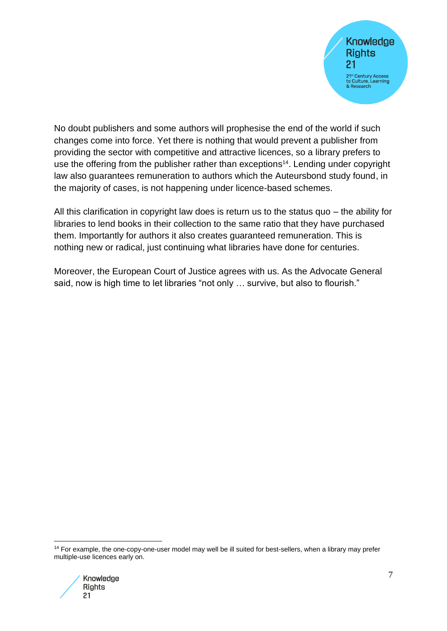

No doubt publishers and some authors will prophesise the end of the world if such changes come into force. Yet there is nothing that would prevent a publisher from providing the sector with competitive and attractive licences, so a library prefers to use the offering from the publisher rather than exceptions<sup>14</sup>. Lending under copyright law also guarantees remuneration to authors which the Auteursbond study found, in the majority of cases, is not happening under licence-based schemes.

All this clarification in copyright law does is return us to the status quo – the ability for libraries to lend books in their collection to the same ratio that they have purchased them. Importantly for authors it also creates guaranteed remuneration. This is nothing new or radical, just continuing what libraries have done for centuries.

Moreover, the European Court of Justice agrees with us. As the Advocate General said, now is high time to let libraries "not only ... survive, but also to flourish."

<sup>14</sup> For example, the one-copy-one-user model may well be ill suited for best-sellers, when a library may prefer multiple-use licences early on.

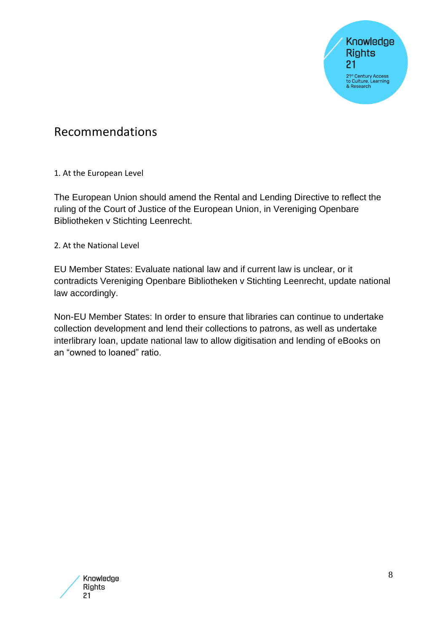**Knowledge Rights**  $21$ 21st Century Access<br>to Culture, Learning<br>& Research

### Recommendations

1. At the European Level

The European Union should amend the Rental and Lending Directive to reflect the ruling of the Court of Justice of the European Union, in Vereniging Openbare Bibliotheken v Stichting Leenrecht.

2. At the National Level

EU Member States: Evaluate national law and if current law is unclear, or it contradicts Vereniging Openbare Bibliotheken v Stichting Leenrecht, update national law accordingly.

Non-EU Member States: In order to ensure that libraries can continue to undertake collection development and lend their collections to patrons, as well as undertake interlibrary loan, update national law to allow digitisation and lending of eBooks on an "owned to loaned" ratio.